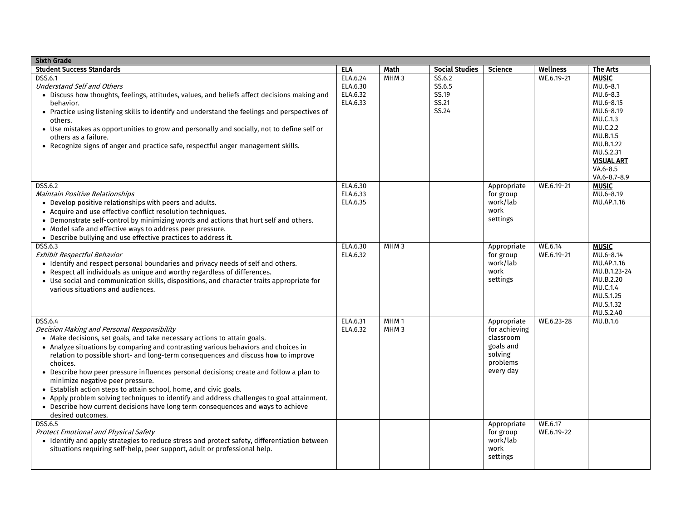| <b>Sixth Grade</b>                                                                                                                                                        |          |                  |                       |                       |                 |                                |
|---------------------------------------------------------------------------------------------------------------------------------------------------------------------------|----------|------------------|-----------------------|-----------------------|-----------------|--------------------------------|
| <b>Student Success Standards</b>                                                                                                                                          | ELA      | <b>Math</b>      | <b>Social Studies</b> | Science               | <b>Wellness</b> | The Arts                       |
| <b>DSS.6.1</b>                                                                                                                                                            | ELA.6.24 | MHM <sub>3</sub> | SS.6.2                |                       | WE.6.19-21      | <b>MUSIC</b>                   |
| <b>Understand Self and Others</b>                                                                                                                                         | ELA.6.30 |                  | SS.6.5                |                       |                 | MU.6-8.1                       |
| · Discuss how thoughts, feelings, attitudes, values, and beliefs affect decisions making and                                                                              | ELA.6.32 |                  | SS.19                 |                       |                 | MU.6-8.3                       |
| behavior.                                                                                                                                                                 | ELA.6.33 |                  | SS.21                 |                       |                 | MU.6-8.15                      |
| • Practice using listening skills to identify and understand the feelings and perspectives of                                                                             |          |                  | SS.24                 |                       |                 | MU.6-8.19                      |
| others.                                                                                                                                                                   |          |                  |                       |                       |                 | MU.C.1.3                       |
| • Use mistakes as opportunities to grow and personally and socially, not to define self or                                                                                |          |                  |                       |                       |                 | MU.C.2.2                       |
| others as a failure.                                                                                                                                                      |          |                  |                       |                       |                 | MU.B.1.5                       |
| • Recognize signs of anger and practice safe, respectful anger management skills.                                                                                         |          |                  |                       |                       |                 | MU.B.1.22                      |
|                                                                                                                                                                           |          |                  |                       |                       |                 | MU.S.2.31<br><b>VISUAL ART</b> |
|                                                                                                                                                                           |          |                  |                       |                       |                 | VA.6-8.5                       |
|                                                                                                                                                                           |          |                  |                       |                       |                 | VA.6-8.7-8.9                   |
| <b>DSS.6.2</b>                                                                                                                                                            | ELA.6.30 |                  |                       | Appropriate           | WE.6.19-21      | <b>MUSIC</b>                   |
| Maintain Positive Relationships                                                                                                                                           | ELA.6.33 |                  |                       | for group             |                 | MU.6-8.19                      |
| • Develop positive relationships with peers and adults.                                                                                                                   | ELA.6.35 |                  |                       | work/lab              |                 | MU.AP.1.16                     |
| • Acquire and use effective conflict resolution techniques.                                                                                                               |          |                  |                       | work                  |                 |                                |
| • Demonstrate self-control by minimizing words and actions that hurt self and others.                                                                                     |          |                  |                       | settings              |                 |                                |
| • Model safe and effective ways to address peer pressure.                                                                                                                 |          |                  |                       |                       |                 |                                |
| • Describe bullying and use effective practices to address it.                                                                                                            |          |                  |                       |                       |                 |                                |
| <b>DSS.6.3</b>                                                                                                                                                            | ELA.6.30 | MHM <sub>3</sub> |                       | Appropriate           | WE.6.14         | <b>MUSIC</b>                   |
| Exhibit Respectful Behavior                                                                                                                                               | ELA.6.32 |                  |                       | for group             | WE.6.19-21      | MU.6-8.14                      |
| • Identify and respect personal boundaries and privacy needs of self and others.                                                                                          |          |                  |                       | work/lab              |                 | MU.AP.1.16                     |
| • Respect all individuals as unique and worthy regardless of differences.                                                                                                 |          |                  |                       | work                  |                 | MU.B.1.23-24                   |
| • Use social and communication skills, dispositions, and character traits appropriate for                                                                                 |          |                  |                       | settings              |                 | MU.B.2.20                      |
| various situations and audiences.                                                                                                                                         |          |                  |                       |                       |                 | MU.C.1.4                       |
|                                                                                                                                                                           |          |                  |                       |                       |                 | MU.S.1.25                      |
|                                                                                                                                                                           |          |                  |                       |                       |                 | MU.S.1.32                      |
|                                                                                                                                                                           |          |                  |                       |                       |                 | MU.S.2.40                      |
| <b>DSS.6.4</b>                                                                                                                                                            | ELA.6.31 | MHM <sub>1</sub> |                       | Appropriate           | WE.6.23-28      | MU.B.1.6                       |
| Decision Making and Personal Responsibility                                                                                                                               | ELA.6.32 | MHM <sub>3</sub> |                       | for achieving         |                 |                                |
| • Make decisions, set goals, and take necessary actions to attain goals.                                                                                                  |          |                  |                       | classroom             |                 |                                |
| • Analyze situations by comparing and contrasting various behaviors and choices in                                                                                        |          |                  |                       | goals and             |                 |                                |
| relation to possible short- and long-term consequences and discuss how to improve                                                                                         |          |                  |                       | solving               |                 |                                |
| choices.                                                                                                                                                                  |          |                  |                       | problems              |                 |                                |
| • Describe how peer pressure influences personal decisions; create and follow a plan to                                                                                   |          |                  |                       | every day             |                 |                                |
| minimize negative peer pressure.                                                                                                                                          |          |                  |                       |                       |                 |                                |
| • Establish action steps to attain school, home, and civic goals.                                                                                                         |          |                  |                       |                       |                 |                                |
| • Apply problem solving techniques to identify and address challenges to goal attainment.                                                                                 |          |                  |                       |                       |                 |                                |
| • Describe how current decisions have long term consequences and ways to achieve                                                                                          |          |                  |                       |                       |                 |                                |
| desired outcomes.                                                                                                                                                         |          |                  |                       |                       |                 |                                |
| <b>DSS.6.5</b>                                                                                                                                                            |          |                  |                       | Appropriate           | WE.6.17         |                                |
| <b>Protect Emotional and Physical Safety</b>                                                                                                                              |          |                  |                       | for group<br>work/lab | WE.6.19-22      |                                |
| • Identify and apply strategies to reduce stress and protect safety, differentiation between<br>situations requiring self-help, peer support, adult or professional help. |          |                  |                       | work                  |                 |                                |
|                                                                                                                                                                           |          |                  |                       | settings              |                 |                                |
|                                                                                                                                                                           |          |                  |                       |                       |                 |                                |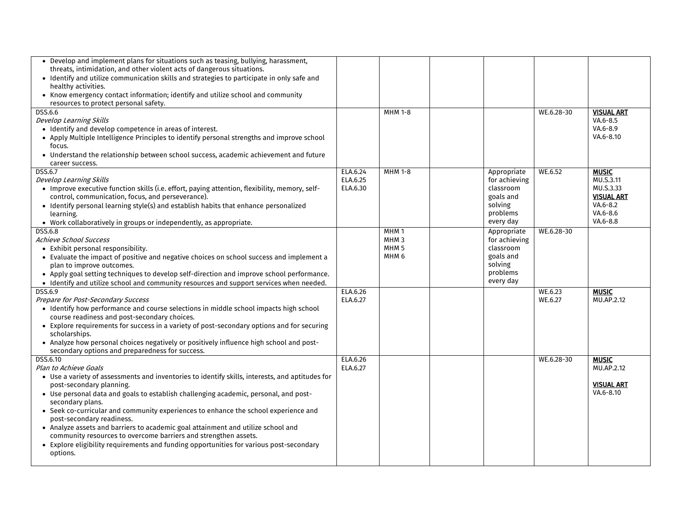| • Develop and implement plans for situations such as teasing, bullying, harassment,<br>threats, intimidation, and other violent acts of dangerous situations. |                      |                                      |                              |            |                               |
|---------------------------------------------------------------------------------------------------------------------------------------------------------------|----------------------|--------------------------------------|------------------------------|------------|-------------------------------|
| • Identify and utilize communication skills and strategies to participate in only safe and                                                                    |                      |                                      |                              |            |                               |
| healthy activities.                                                                                                                                           |                      |                                      |                              |            |                               |
| • Know emergency contact information; identify and utilize school and community                                                                               |                      |                                      |                              |            |                               |
| resources to protect personal safety.                                                                                                                         |                      |                                      |                              |            |                               |
| DSS.6.6<br>Develop Learning Skills                                                                                                                            |                      | MHM 1-8                              |                              | WE.6.28-30 | <b>VISUAL ART</b><br>VA.6-8.5 |
| • Identify and develop competence in areas of interest.                                                                                                       |                      |                                      |                              |            | VA.6-8.9                      |
| • Apply Multiple Intelligence Principles to identify personal strengths and improve school                                                                    |                      |                                      |                              |            | VA.6-8.10                     |
| focus.                                                                                                                                                        |                      |                                      |                              |            |                               |
| • Understand the relationship between school success, academic achievement and future                                                                         |                      |                                      |                              |            |                               |
| career success.                                                                                                                                               |                      | <b>MHM 1-8</b>                       |                              | WE.6.52    |                               |
| DSS.6.7<br>Develop Learning Skills                                                                                                                            | ELA.6.24<br>ELA.6.25 |                                      | Appropriate<br>for achieving |            | <b>MUSIC</b><br>MU.S.3.11     |
| • Improve executive function skills (i.e. effort, paying attention, flexibility, memory, self-                                                                | ELA.6.30             |                                      | classroom                    |            | MU.S.3.33                     |
| control, communication, focus, and perseverance).                                                                                                             |                      |                                      | goals and                    |            | <b>VISUAL ART</b>             |
| • Identify personal learning style(s) and establish habits that enhance personalized                                                                          |                      |                                      | solving                      |            | $VA.6 - 8.2$                  |
| learning.                                                                                                                                                     |                      |                                      | problems                     |            | VA.6-8.6                      |
| • Work collaboratively in groups or independently, as appropriate.                                                                                            |                      |                                      | every day                    |            | VA.6-8.8                      |
| <b>DSS.6.8</b><br><b>Achieve School Success</b>                                                                                                               |                      | MHM <sub>1</sub><br>MHM <sub>3</sub> | Appropriate<br>for achieving | WE.6.28-30 |                               |
| • Exhibit personal responsibility.                                                                                                                            |                      | MHM <sub>5</sub>                     | classroom                    |            |                               |
| • Evaluate the impact of positive and negative choices on school success and implement a                                                                      |                      | MHM <sub>6</sub>                     | goals and                    |            |                               |
| plan to improve outcomes.                                                                                                                                     |                      |                                      | solving                      |            |                               |
| • Apply goal setting techniques to develop self-direction and improve school performance.                                                                     |                      |                                      | problems                     |            |                               |
| • Identify and utilize school and community resources and support services when needed.                                                                       |                      |                                      | every day                    |            |                               |
| <b>DSS.6.9</b>                                                                                                                                                | ELA.6.26             |                                      |                              | WE.6.23    | <b>MUSIC</b>                  |
| Prepare for Post-Secondary Success<br>• Identify how performance and course selections in middle school impacts high school                                   | ELA.6.27             |                                      |                              | WE.6.27    | MU.AP.2.12                    |
| course readiness and post-secondary choices.                                                                                                                  |                      |                                      |                              |            |                               |
| • Explore requirements for success in a variety of post-secondary options and for securing                                                                    |                      |                                      |                              |            |                               |
| scholarships.                                                                                                                                                 |                      |                                      |                              |            |                               |
| • Analyze how personal choices negatively or positively influence high school and post-                                                                       |                      |                                      |                              |            |                               |
| secondary options and preparedness for success.                                                                                                               |                      |                                      |                              |            |                               |
| DSS.6.10<br>Plan to Achieve Goals                                                                                                                             | ELA.6.26<br>ELA.6.27 |                                      |                              | WE.6.28-30 | <b>MUSIC</b><br>MU.AP.2.12    |
| • Use a variety of assessments and inventories to identify skills, interests, and aptitudes for                                                               |                      |                                      |                              |            |                               |
| post-secondary planning.                                                                                                                                      |                      |                                      |                              |            | <b>VISUAL ART</b>             |
| • Use personal data and goals to establish challenging academic, personal, and post-                                                                          |                      |                                      |                              |            | VA.6-8.10                     |
| secondary plans.                                                                                                                                              |                      |                                      |                              |            |                               |
| • Seek co-curricular and community experiences to enhance the school experience and                                                                           |                      |                                      |                              |            |                               |
| post-secondary readiness.<br>• Analyze assets and barriers to academic goal attainment and utilize school and                                                 |                      |                                      |                              |            |                               |
| community resources to overcome barriers and strengthen assets.                                                                                               |                      |                                      |                              |            |                               |
| • Explore eligibility requirements and funding opportunities for various post-secondary                                                                       |                      |                                      |                              |            |                               |
| options.                                                                                                                                                      |                      |                                      |                              |            |                               |
|                                                                                                                                                               |                      |                                      |                              |            |                               |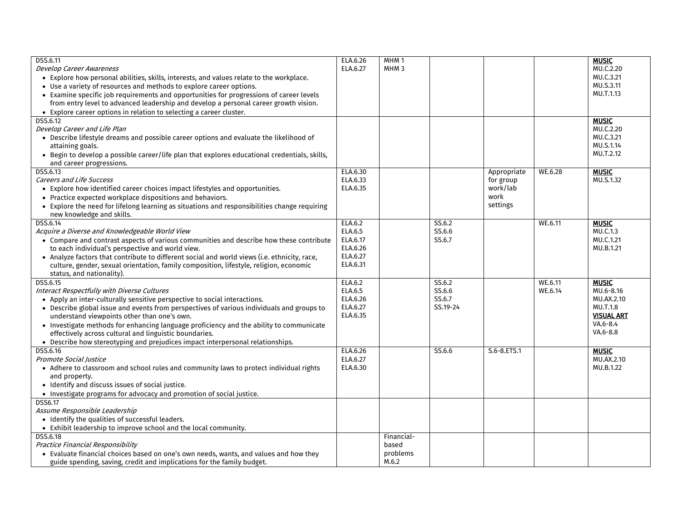| DSS.6.11                                                                                      | ELA.6.26 | MHM <sub>1</sub> |          |                       |         | <b>MUSIC</b>      |
|-----------------------------------------------------------------------------------------------|----------|------------------|----------|-----------------------|---------|-------------------|
| <b>Develop Career Awareness</b>                                                               | ELA.6.27 | MHM <sub>3</sub> |          |                       |         | MU.C.2.20         |
| • Explore how personal abilities, skills, interests, and values relate to the workplace.      |          |                  |          |                       |         | MU.C.3.21         |
| • Use a variety of resources and methods to explore career options.                           |          |                  |          |                       |         | MU.S.3.11         |
| • Examine specific job requirements and opportunities for progressions of career levels       |          |                  |          |                       |         | MU.T.1.13         |
| from entry level to advanced leadership and develop a personal career growth vision.          |          |                  |          |                       |         |                   |
| • Explore career options in relation to selecting a career cluster.                           |          |                  |          |                       |         |                   |
| DSS.6.12                                                                                      |          |                  |          |                       |         | <b>MUSIC</b>      |
| Develop Career and Life Plan                                                                  |          |                  |          |                       |         | MU.C.2.20         |
| • Describe lifestyle dreams and possible career options and evaluate the likelihood of        |          |                  |          |                       |         | MU.C.3.21         |
| attaining goals.                                                                              |          |                  |          |                       |         | MU.S.1.14         |
| • Begin to develop a possible career/life plan that explores educational credentials, skills, |          |                  |          |                       |         | MU.T.2.12         |
| and career progressions.                                                                      |          |                  |          |                       |         |                   |
| DSS.6.13                                                                                      |          |                  |          |                       | WE.6.28 | <b>MUSIC</b>      |
|                                                                                               | ELA.6.30 |                  |          | Appropriate           |         |                   |
| <b>Careers and Life Success</b>                                                               | ELA.6.33 |                  |          | for group<br>work/lab |         | MU.S.1.32         |
| • Explore how identified career choices impact lifestyles and opportunities.                  | ELA.6.35 |                  |          | work                  |         |                   |
| • Practice expected workplace dispositions and behaviors.                                     |          |                  |          |                       |         |                   |
| • Explore the need for lifelong learning as situations and responsibilities change requiring  |          |                  |          | settings              |         |                   |
| new knowledge and skills.                                                                     |          |                  |          |                       |         |                   |
| DSS.6.14                                                                                      | ELA.6.2  |                  | SS.6.2   |                       | WE.6.11 | <b>MUSIC</b>      |
| Acquire a Diverse and Knowledgeable World View                                                | ELA.6.5  |                  | SS.6.6   |                       |         | MU.C.1.3          |
| • Compare and contrast aspects of various communities and describe how these contribute       | ELA.6.17 |                  | SS.6.7   |                       |         | MU.C.1.21         |
| to each individual's perspective and world view.                                              | ELA.6.26 |                  |          |                       |         | MU.B.1.21         |
| • Analyze factors that contribute to different social and world views (i.e. ethnicity, race,  | ELA.6.27 |                  |          |                       |         |                   |
| culture, gender, sexual orientation, family composition, lifestyle, religion, economic        | ELA.6.31 |                  |          |                       |         |                   |
| status, and nationality).                                                                     |          |                  |          |                       |         |                   |
| DSS.6.15                                                                                      | ELA.6.2  |                  | SS.6.2   |                       | WE.6.11 | <b>MUSIC</b>      |
| Interact Respectfully with Diverse Cultures                                                   | ELA.6.5  |                  | SS.6.6   |                       | WE.6.14 | MU.6-8.16         |
| • Apply an inter-culturally sensitive perspective to social interactions.                     | ELA.6.26 |                  | SS.6.7   |                       |         | MU.AX.2.10        |
| • Describe global issue and events from perspectives of various individuals and groups to     | ELA.6.27 |                  | SS.19-24 |                       |         | MU.T.1.8          |
| understand viewpoints other than one's own.                                                   | ELA.6.35 |                  |          |                       |         | <b>VISUAL ART</b> |
| • Investigate methods for enhancing language proficiency and the ability to communicate       |          |                  |          |                       |         | VA.6-8.4          |
| effectively across cultural and linguistic boundaries.                                        |          |                  |          |                       |         | VA.6-8.8          |
| • Describe how stereotyping and prejudices impact interpersonal relationships.                |          |                  |          |                       |         |                   |
| DSS.6.16                                                                                      | ELA.6.26 |                  | SS.6.6   | S.6-8.ETS.1           |         | <b>MUSIC</b>      |
| Promote Social Iustice                                                                        | ELA.6.27 |                  |          |                       |         | MU.AX.2.10        |
| • Adhere to classroom and school rules and community laws to protect individual rights        | ELA.6.30 |                  |          |                       |         | MU.B.1.22         |
| and property.                                                                                 |          |                  |          |                       |         |                   |
| • Identify and discuss issues of social justice.                                              |          |                  |          |                       |         |                   |
| • Investigate programs for advocacy and promotion of social justice.                          |          |                  |          |                       |         |                   |
| DSS6.17                                                                                       |          |                  |          |                       |         |                   |
| Assume Responsible Leadership                                                                 |          |                  |          |                       |         |                   |
| • Identify the qualities of successful leaders.                                               |          |                  |          |                       |         |                   |
| • Exhibit leadership to improve school and the local community.                               |          |                  |          |                       |         |                   |
| <b>DSS.6.18</b>                                                                               |          | Financial-       |          |                       |         |                   |
| Practice Financial Responsibility                                                             |          | based            |          |                       |         |                   |
| • Evaluate financial choices based on one's own needs, wants, and values and how they         |          | problems         |          |                       |         |                   |
| guide spending, saving, credit and implications for the family budget.                        |          | M.6.2            |          |                       |         |                   |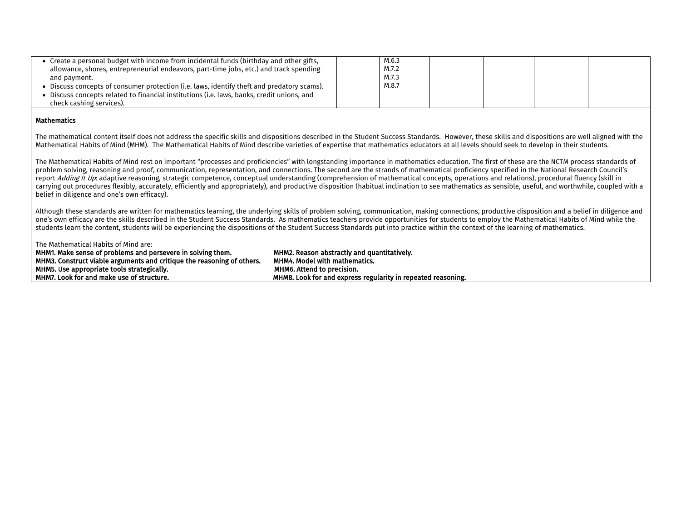| • Create a personal budget with income from incidental funds (birthday and other gifts,<br>allowance, shores, entrepreneurial endeavors, part-time jobs, etc.) and track spending<br>and payment.<br>• Discuss concepts of consumer protection (i.e. laws, identify theft and predatory scams).<br>• Discuss concepts related to financial institutions (i.e. laws, banks, credit unions, and<br>check cashing services). | M.6.3<br>M.7.2<br>M.7.3<br>M.8.7 |  |  |
|---------------------------------------------------------------------------------------------------------------------------------------------------------------------------------------------------------------------------------------------------------------------------------------------------------------------------------------------------------------------------------------------------------------------------|----------------------------------|--|--|
| $11.41$ and $1.41$ and $1.41$ and $1.41$                                                                                                                                                                                                                                                                                                                                                                                  |                                  |  |  |

## Mathematics

The mathematical content itself does not address the specific skills and dispositions described in the Student Success Standards. However, these skills and dispositions are well aligned with the Mathematical Habits of Mind (MHM). The Mathematical Habits of Mind describe varieties of expertise that mathematics educators at all levels should seek to develop in their students.

The Mathematical Habits of Mind rest on important "processes and proficiencies" with longstanding importance in mathematics education. The first of these are the NCTM process standards of problem solving, reasoning and proof, communication, representation, and connections. The second are the strands of mathematical proficiency specified in the National Research Council's report Adding It Up: adaptive reasoning, strategic competence, conceptual understanding (comprehension of mathematical concepts, operations and relations), procedural fluency (skill in carrying out procedures flexibly, accurately, efficiently and appropriately), and productive disposition (habitual inclination to see mathematics as sensible, useful, and worthwhile, coupled with a belief in diligence and one's own efficacy).

Although these standards are written for mathematics learning, the underlying skills of problem solving, communication, making connections, productive disposition and a belief in diligence and one's own efficacy are the skills described in the Student Success Standards. As mathematics teachers provide opportunities for students to employ the Mathematical Habits of Mind while the students learn the content, students will be experiencing the dispositions of the Student Success Standards put into practice within the context of the learning of mathematics.

## The Mathematical Habits of Mind are:

| MHM1. Make sense of problems and persevere in solving them.            | MHM2. Reason abstractly and quantitatively.                  |
|------------------------------------------------------------------------|--------------------------------------------------------------|
| MHM3. Construct viable arguments and critique the reasoning of others. | <b>MHM4. Model with mathematics.</b>                         |
| MHM5. Use appropriate tools strategically.                             | MHM6. Attend to precision.                                   |
| MHM7. Look for and make use of structure.                              | MHM8. Look for and express regularity in repeated reasoning. |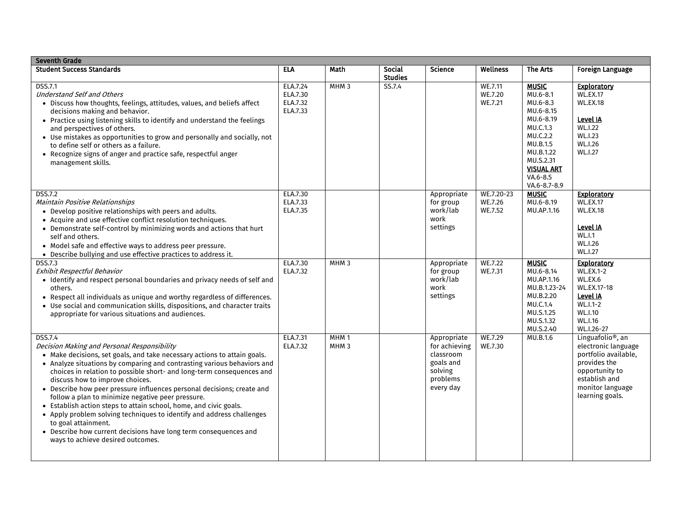| <b>Seventh Grade</b>                                                                                                                                                                                                                                                                                                                                                                                                                                                                                                                                                                                                                                                                                                                          |                                              |                                      |                                 |                                                                                            |                                  |                                                                                                                                                                               |                                                                                                                                                                        |  |
|-----------------------------------------------------------------------------------------------------------------------------------------------------------------------------------------------------------------------------------------------------------------------------------------------------------------------------------------------------------------------------------------------------------------------------------------------------------------------------------------------------------------------------------------------------------------------------------------------------------------------------------------------------------------------------------------------------------------------------------------------|----------------------------------------------|--------------------------------------|---------------------------------|--------------------------------------------------------------------------------------------|----------------------------------|-------------------------------------------------------------------------------------------------------------------------------------------------------------------------------|------------------------------------------------------------------------------------------------------------------------------------------------------------------------|--|
| <b>Student Success Standards</b>                                                                                                                                                                                                                                                                                                                                                                                                                                                                                                                                                                                                                                                                                                              | <b>ELA</b>                                   | Math                                 | <b>Social</b><br><b>Studies</b> | <b>Science</b>                                                                             | Wellness                         | The Arts                                                                                                                                                                      | <b>Foreign Language</b>                                                                                                                                                |  |
| <b>DSS.7.1</b><br><b>Understand Self and Others</b><br>• Discuss how thoughts, feelings, attitudes, values, and beliefs affect<br>decisions making and behavior.<br>• Practice using listening skills to identify and understand the feelings<br>and perspectives of others.<br>• Use mistakes as opportunities to grow and personally and socially, not<br>to define self or others as a failure.<br>• Recognize signs of anger and practice safe, respectful anger<br>management skills.                                                                                                                                                                                                                                                    | ELA.7.24<br>ELA.7.30<br>ELA.7.32<br>ELA.7.33 | MHM <sub>3</sub>                     | SS.7.4                          |                                                                                            | WE.7.11<br>WE.7.20<br>WE.7.21    | <b>MUSIC</b><br>MU.6-8.1<br>MU.6-8.3<br>MU.6-8.15<br>MU.6-8.19<br>MU.C.1.3<br>MU.C.2.2<br>MU.B.1.5<br>MU.B.1.22<br>MU.S.2.31<br><b>VISUAL ART</b><br>VA.6-8.5<br>VA.6-8.7-8.9 | <b>Exploratory</b><br><b>WL.EX.17</b><br><b>WL.EX.18</b><br>Level IA<br><b>WL.I.22</b><br><b>WL.I.23</b><br>WL.I.26<br><b>WL.I.27</b>                                  |  |
| <b>DSS.7.2</b><br>Maintain Positive Relationships<br>• Develop positive relationships with peers and adults.<br>• Acquire and use effective conflict resolution techniques.<br>• Demonstrate self-control by minimizing words and actions that hurt<br>self and others.<br>• Model safe and effective ways to address peer pressure.<br>• Describe bullying and use effective practices to address it.                                                                                                                                                                                                                                                                                                                                        | ELA.7.30<br>ELA.7.33<br>ELA.7.35             |                                      |                                 | Appropriate<br>for group<br>work/lab<br>work<br>settings                                   | WE.7.20-23<br>WE.7.26<br>WE.7.52 | <b>MUSIC</b><br>MU.6-8.19<br>MU.AP.1.16                                                                                                                                       | <b>Exploratory</b><br><b>WL.EX.17</b><br><b>WL.EX.18</b><br>Level IA<br><b>WL.I.1</b><br>WL.I.26<br><b>WL.I.27</b>                                                     |  |
| <b>DSS.7.3</b><br>Exhibit Respectful Behavior<br>· Identify and respect personal boundaries and privacy needs of self and<br>others.<br>• Respect all individuals as unique and worthy regardless of differences.<br>• Use social and communication skills, dispositions, and character traits<br>appropriate for various situations and audiences.                                                                                                                                                                                                                                                                                                                                                                                           | ELA.7.30<br>ELA.7.32                         | MHM <sub>3</sub>                     |                                 | Appropriate<br>for group<br>work/lab<br>work<br>settings                                   | WE.7.22<br>WE.7.31               | <b>MUSIC</b><br>MU.6-8.14<br>MU.AP.1.16<br>MU.B.1.23-24<br>MU.B.2.20<br>MU.C.1.4<br>MU.S.1.25<br>MU.S.1.32<br>MU.S.2.40                                                       | <b>Exploratory</b><br><b>WL.EX.1-2</b><br>WL.EX.6<br><b>WL.EX.17-18</b><br>Level IA<br>WL.I.1-2<br>WL.I.10<br>WL.I.16<br>WL.I.26-27                                    |  |
| <b>DSS.7.4</b><br>Decision Making and Personal Responsibility<br>• Make decisions, set goals, and take necessary actions to attain goals.<br>• Analyze situations by comparing and contrasting various behaviors and<br>choices in relation to possible short- and long-term consequences and<br>discuss how to improve choices.<br>• Describe how peer pressure influences personal decisions; create and<br>follow a plan to minimize negative peer pressure.<br>• Establish action steps to attain school, home, and civic goals.<br>• Apply problem solving techniques to identify and address challenges<br>to goal attainment.<br>• Describe how current decisions have long term consequences and<br>ways to achieve desired outcomes. | ELA.7.31<br>ELA.7.32                         | MHM <sub>1</sub><br>MHM <sub>3</sub> |                                 | Appropriate<br>for achieving<br>classroom<br>goals and<br>solving<br>problems<br>every day | WE.7.29<br>WE.7.30               | MU.B.1.6                                                                                                                                                                      | Linguafolio <sup>®</sup> , an<br>electronic language<br>portfolio available,<br>provides the<br>opportunity to<br>establish and<br>monitor language<br>learning goals. |  |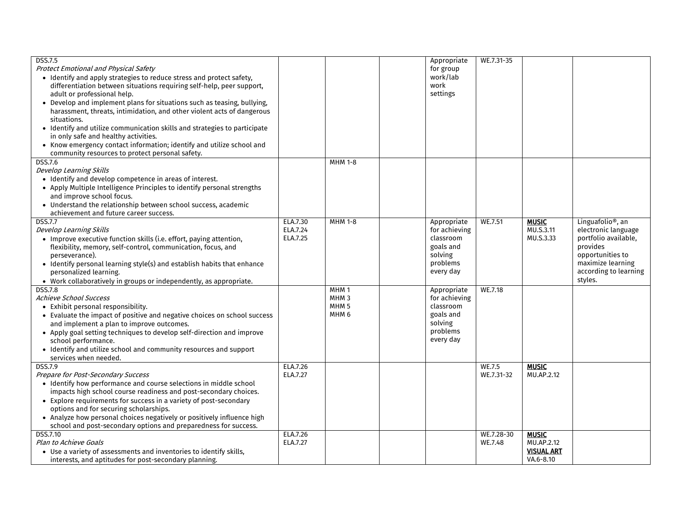| <b>DSS.7.5</b>                                                            |          |                  | Appropriate          | WE.7.31-35 |                   |                               |
|---------------------------------------------------------------------------|----------|------------------|----------------------|------------|-------------------|-------------------------------|
| Protect Emotional and Physical Safety                                     |          |                  | for group            |            |                   |                               |
| • Identify and apply strategies to reduce stress and protect safety,      |          |                  | work/lab             |            |                   |                               |
| differentiation between situations requiring self-help, peer support,     |          |                  | work                 |            |                   |                               |
| adult or professional help.                                               |          |                  | settings             |            |                   |                               |
| • Develop and implement plans for situations such as teasing, bullying,   |          |                  |                      |            |                   |                               |
| harassment, threats, intimidation, and other violent acts of dangerous    |          |                  |                      |            |                   |                               |
| situations.                                                               |          |                  |                      |            |                   |                               |
|                                                                           |          |                  |                      |            |                   |                               |
| · Identify and utilize communication skills and strategies to participate |          |                  |                      |            |                   |                               |
| in only safe and healthy activities.                                      |          |                  |                      |            |                   |                               |
| • Know emergency contact information; identify and utilize school and     |          |                  |                      |            |                   |                               |
| community resources to protect personal safety.                           |          |                  |                      |            |                   |                               |
| $D\overline{SS.7.6}$                                                      |          | <b>MHM 1-8</b>   |                      |            |                   |                               |
| Develop Learning Skills                                                   |          |                  |                      |            |                   |                               |
| • Identify and develop competence in areas of interest.                   |          |                  |                      |            |                   |                               |
| • Apply Multiple Intelligence Principles to identify personal strengths   |          |                  |                      |            |                   |                               |
| and improve school focus.                                                 |          |                  |                      |            |                   |                               |
| • Understand the relationship between school success, academic            |          |                  |                      |            |                   |                               |
| achievement and future career success.                                    |          |                  |                      |            |                   |                               |
| <b>DSS.7.7</b>                                                            | ELA.7.30 | <b>MHM 1-8</b>   | Appropriate          | WE.7.51    | <b>MUSIC</b>      | Linguafolio <sup>®</sup> , an |
| Develop Learning Skills                                                   | ELA.7.24 |                  | for achieving        |            | MU.S.3.11         | electronic language           |
| • Improve executive function skills (i.e. effort, paying attention,       | ELA.7.25 |                  | classroom            |            | MU.S.3.33         | portfolio available,          |
| flexibility, memory, self-control, communication, focus, and              |          |                  | goals and            |            |                   | provides                      |
| perseverance).                                                            |          |                  | solving              |            |                   | opportunities to              |
| • Identify personal learning style(s) and establish habits that enhance   |          |                  | problems             |            |                   | maximize learning             |
| personalized learning.                                                    |          |                  | every day            |            |                   | according to learning         |
| • Work collaboratively in groups or independently, as appropriate.        |          |                  |                      |            |                   | styles.                       |
| <b>DSS.7.8</b>                                                            |          | MHM <sub>1</sub> | Appropriate          | WE.7.18    |                   |                               |
| <b>Achieve School Success</b>                                             |          | MHM <sub>3</sub> | for achieving        |            |                   |                               |
| • Exhibit personal responsibility.                                        |          | MHM <sub>5</sub> | classroom            |            |                   |                               |
|                                                                           |          | MHM <sub>6</sub> |                      |            |                   |                               |
| • Evaluate the impact of positive and negative choices on school success  |          |                  | goals and<br>solving |            |                   |                               |
| and implement a plan to improve outcomes.                                 |          |                  | problems             |            |                   |                               |
| • Apply goal setting techniques to develop self-direction and improve     |          |                  |                      |            |                   |                               |
| school performance.                                                       |          |                  | every day            |            |                   |                               |
| • Identify and utilize school and community resources and support         |          |                  |                      |            |                   |                               |
| services when needed.                                                     |          |                  |                      |            |                   |                               |
| DSS.7.9                                                                   | ELA.7.26 |                  |                      | WE.7.5     | <b>MUSIC</b>      |                               |
| Prepare for Post-Secondary Success                                        | ELA.7.27 |                  |                      | WE.7.31-32 | MU.AP.2.12        |                               |
| • Identify how performance and course selections in middle school         |          |                  |                      |            |                   |                               |
| impacts high school course readiness and post-secondary choices.          |          |                  |                      |            |                   |                               |
| • Explore requirements for success in a variety of post-secondary         |          |                  |                      |            |                   |                               |
| options and for securing scholarships.                                    |          |                  |                      |            |                   |                               |
| • Analyze how personal choices negatively or positively influence high    |          |                  |                      |            |                   |                               |
| school and post-secondary options and preparedness for success.           |          |                  |                      |            |                   |                               |
| DSS.7.10                                                                  | ELA.7.26 |                  |                      | WE.7.28-30 | <b>MUSIC</b>      |                               |
| Plan to Achieve Goals                                                     | ELA.7.27 |                  |                      | WE.7.48    | MU.AP.2.12        |                               |
| • Use a variety of assessments and inventories to identify skills,        |          |                  |                      |            | <b>VISUAL ART</b> |                               |
| interests, and aptitudes for post-secondary planning.                     |          |                  |                      |            | VA.6-8.10         |                               |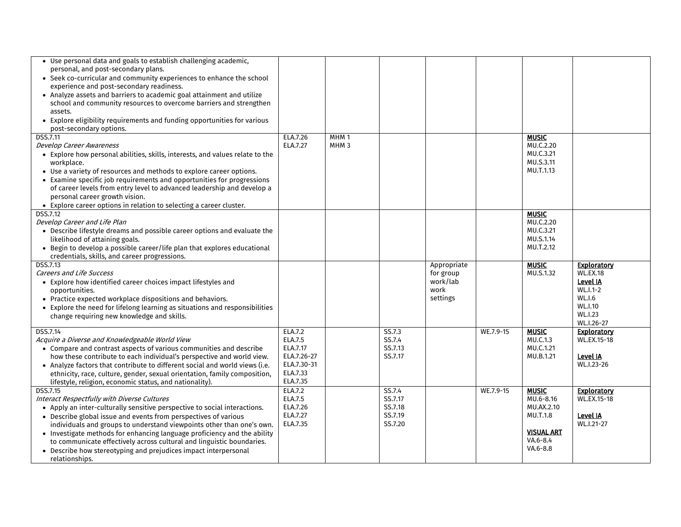| • Use personal data and goals to establish challenging academic,<br>personal, and post-secondary plans.<br>• Seek co-curricular and community experiences to enhance the school<br>experience and post-secondary readiness.<br>• Analyze assets and barriers to academic goal attainment and utilize<br>school and community resources to overcome barriers and strengthen<br>assets.<br>• Explore eligibility requirements and funding opportunities for various<br>post-secondary options.                               |                                                                                      |                                      |                                                    |                                                          |           |                                                                                                  |                                                                                                                           |
|----------------------------------------------------------------------------------------------------------------------------------------------------------------------------------------------------------------------------------------------------------------------------------------------------------------------------------------------------------------------------------------------------------------------------------------------------------------------------------------------------------------------------|--------------------------------------------------------------------------------------|--------------------------------------|----------------------------------------------------|----------------------------------------------------------|-----------|--------------------------------------------------------------------------------------------------|---------------------------------------------------------------------------------------------------------------------------|
| <b>DSS.7.11</b><br><b>Develop Career Awareness</b><br>• Explore how personal abilities, skills, interests, and values relate to the<br>workplace.<br>• Use a variety of resources and methods to explore career options.<br>• Examine specific job requirements and opportunities for progressions<br>of career levels from entry level to advanced leadership and develop a<br>personal career growth vision.<br>• Explore career options in relation to selecting a career cluster.                                      | ELA.7.26<br>ELA.7.27                                                                 | MHM <sub>1</sub><br>MHM <sub>3</sub> |                                                    |                                                          |           | <b>MUSIC</b><br>MU.C.2.20<br>MU.C.3.21<br>MU.S.3.11<br>MU.T.1.13                                 |                                                                                                                           |
| DSS.7.12<br>Develop Career and Life Plan<br>• Describe lifestyle dreams and possible career options and evaluate the<br>likelihood of attaining goals.<br>• Begin to develop a possible career/life plan that explores educational<br>credentials, skills, and career progressions.                                                                                                                                                                                                                                        |                                                                                      |                                      |                                                    |                                                          |           | <b>MUSIC</b><br>MU.C.2.20<br>MU.C.3.21<br>MU.S.1.14<br>MU.T.2.12                                 |                                                                                                                           |
| <b>DSS.7.13</b><br><b>Careers and Life Success</b><br>• Explore how identified career choices impact lifestyles and<br>opportunities.<br>• Practice expected workplace dispositions and behaviors.<br>• Explore the need for lifelong learning as situations and responsibilities<br>change requiring new knowledge and skills.                                                                                                                                                                                            |                                                                                      |                                      |                                                    | Appropriate<br>for group<br>work/lab<br>work<br>settings |           | <b>MUSIC</b><br>MU.S.1.32                                                                        | <b>Exploratory</b><br><b>WL.EX.18</b><br>Level IA<br>WL.I.1-2<br><b>WL.I.6</b><br>WL.I.10<br><b>WL.I.23</b><br>WL.I.26-27 |
| DSS.7.14<br>Acquire a Diverse and Knowledgeable World View<br>• Compare and contrast aspects of various communities and describe<br>how these contribute to each individual's perspective and world view.<br>• Analyze factors that contribute to different social and world views (i.e.<br>ethnicity, race, culture, gender, sexual orientation, family composition,<br>lifestyle, religion, economic status, and nationality).                                                                                           | ELA.7.2<br>ELA.7.5<br>ELA.7.17<br>ELA.7.26-27<br>ELA.7.30-31<br>ELA.7.33<br>ELA.7.35 |                                      | SS.7.3<br>SS.7.4<br>SS.7.13<br>SS.7.17             |                                                          | WE.7.9-15 | <b>MUSIC</b><br>MU.C.1.3<br>MU.C.1.21<br>MU.B.1.21                                               | <b>Exploratory</b><br>WL.EX.15-18<br>Level IA<br>WL.I.23-26                                                               |
| DSS.7.15<br>Interact Respectfully with Diverse Cultures<br>• Apply an inter-culturally sensitive perspective to social interactions.<br>• Describe global issue and events from perspectives of various<br>individuals and groups to understand viewpoints other than one's own.<br>• Investigate methods for enhancing language proficiency and the ability<br>to communicate effectively across cultural and linguistic boundaries.<br>• Describe how stereotyping and prejudices impact interpersonal<br>relationships. | ELA.7.2<br>ELA.7.5<br>ELA.7.26<br>ELA.7.27<br>ELA.7.35                               |                                      | SS.7.4<br>SS.7.17<br>SS.7.18<br>SS.7.19<br>SS.7.20 |                                                          | WE.7.9-15 | <b>MUSIC</b><br>MU.6-8.16<br>MU.AX.2.10<br>MU.T.1.8<br><b>VISUAL ART</b><br>VA.6-8.4<br>VA.6-8.8 | <b>Exploratory</b><br>WL.EX.15-18<br>Level IA<br>WL.I.21-27                                                               |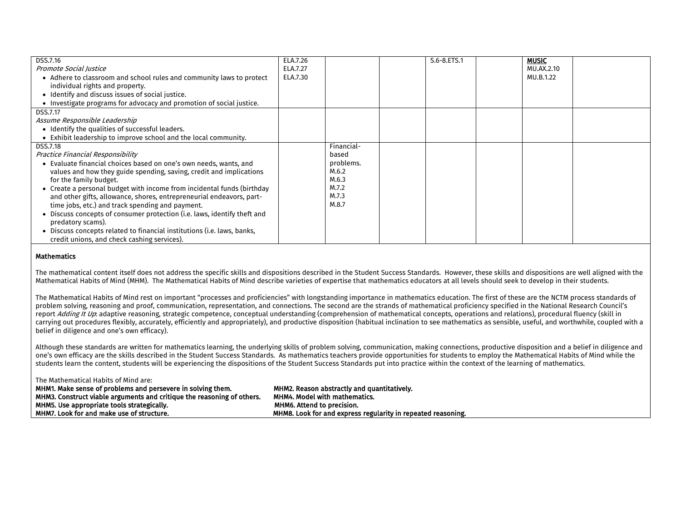| DSS.7.16                                                                 | ELA.7.26 |            | S.6-8.ETS.1 | <b>MUSIC</b> |  |
|--------------------------------------------------------------------------|----------|------------|-------------|--------------|--|
| Promote Social Justice                                                   | ELA.7.27 |            |             | MU.AX.2.10   |  |
| • Adhere to classroom and school rules and community laws to protect     | ELA.7.30 |            |             | MU.B.1.22    |  |
| individual rights and property.                                          |          |            |             |              |  |
| • Identify and discuss issues of social justice.                         |          |            |             |              |  |
| • Investigate programs for advocacy and promotion of social justice.     |          |            |             |              |  |
| DSS.7.17                                                                 |          |            |             |              |  |
| Assume Responsible Leadership                                            |          |            |             |              |  |
| • Identify the qualities of successful leaders.                          |          |            |             |              |  |
| • Exhibit leadership to improve school and the local community.          |          |            |             |              |  |
| DSS.7.18                                                                 |          | Financial- |             |              |  |
| Practice Financial Responsibility                                        |          | based      |             |              |  |
| • Evaluate financial choices based on one's own needs, wants, and        |          | problems.  |             |              |  |
| values and how they guide spending, saving, credit and implications      |          | M.6.2      |             |              |  |
| for the family budget.                                                   |          | M.6.3      |             |              |  |
| • Create a personal budget with income from incidental funds (birthday   |          | M.7.2      |             |              |  |
| and other gifts, allowance, shores, entrepreneurial endeavors, part-     |          | M.7.3      |             |              |  |
| time jobs, etc.) and track spending and payment.                         |          | M.8.7      |             |              |  |
| • Discuss concepts of consumer protection (i.e. laws, identify theft and |          |            |             |              |  |
| predatory scams).                                                        |          |            |             |              |  |
| Discuss concepts related to financial institutions (i.e. laws, banks,    |          |            |             |              |  |
| credit unions, and check cashing services).                              |          |            |             |              |  |

## **Mathematics**

The mathematical content itself does not address the specific skills and dispositions described in the Student Success Standards. However, these skills and dispositions are well aligned with the Mathematical Habits of Mind (MHM). The Mathematical Habits of Mind describe varieties of expertise that mathematics educators at all levels should seek to develop in their students.

The Mathematical Habits of Mind rest on important "processes and proficiencies" with longstanding importance in mathematics education. The first of these are the NCTM process standards of problem solving, reasoning and proof, communication, representation, and connections. The second are the strands of mathematical proficiency specified in the National Research Council's report Adding It Up: adaptive reasoning, strategic competence, conceptual understanding (comprehension of mathematical concepts, operations and relations), procedural fluency (skill in carrying out procedures flexibly, accurately, efficiently and appropriately), and productive disposition (habitual inclination to see mathematics as sensible, useful, and worthwhile, coupled with a belief in diligence and one's own efficacy).

Although these standards are written for mathematics learning, the underlying skills of problem solving, communication, making connections, productive disposition and a belief in diligence and one's own efficacy are the skills described in the Student Success Standards. As mathematics teachers provide opportunities for students to employ the Mathematical Habits of Mind while the students learn the content, students will be experiencing the dispositions of the Student Success Standards put into practice within the context of the learning of mathematics.

| The Mathematical Habits of Mind are:                                   |                                                              |
|------------------------------------------------------------------------|--------------------------------------------------------------|
| MHM1. Make sense of problems and persevere in solving them.            | MHM2. Reason abstractly and quantitatively.                  |
| MHM3. Construct viable arguments and critique the reasoning of others. | <b>MHM4. Model with mathematics.</b>                         |
| MHM5. Use appropriate tools strategically.                             | <b>MHM6. Attend to precision.</b>                            |
| MHM7. Look for and make use of structure.                              | MHM8. Look for and express regularity in repeated reasoning. |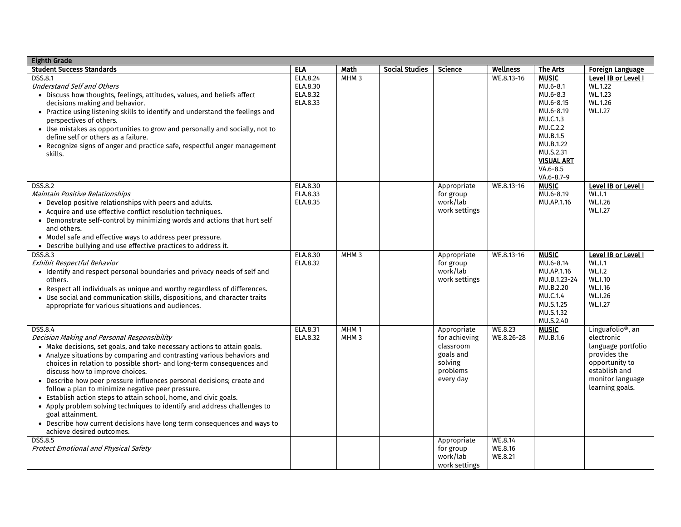| <b>Eighth Grade</b>                                                                                                                                                                                                                                                                                                                                                                                                                                                                                                                                                                                                                                                                                                                           |                                              |                                      |                       |                                                                                            |                               |                                                                                                                         |                                                                                                                                                             |
|-----------------------------------------------------------------------------------------------------------------------------------------------------------------------------------------------------------------------------------------------------------------------------------------------------------------------------------------------------------------------------------------------------------------------------------------------------------------------------------------------------------------------------------------------------------------------------------------------------------------------------------------------------------------------------------------------------------------------------------------------|----------------------------------------------|--------------------------------------|-----------------------|--------------------------------------------------------------------------------------------|-------------------------------|-------------------------------------------------------------------------------------------------------------------------|-------------------------------------------------------------------------------------------------------------------------------------------------------------|
| <b>Student Success Standards</b>                                                                                                                                                                                                                                                                                                                                                                                                                                                                                                                                                                                                                                                                                                              | <b>ELA</b>                                   | Math                                 | <b>Social Studies</b> | Science                                                                                    | <b>Wellness</b>               | The Arts                                                                                                                | <b>Foreign Language</b>                                                                                                                                     |
| <b>DSS.8.1</b><br><b>Understand Self and Others</b><br>• Discuss how thoughts, feelings, attitudes, values, and beliefs affect<br>decisions making and behavior.<br>• Practice using listening skills to identify and understand the feelings and<br>perspectives of others.<br>• Use mistakes as opportunities to grow and personally and socially, not to                                                                                                                                                                                                                                                                                                                                                                                   | ELA.8.24<br>ELA.8.30<br>ELA.8.32<br>ELA.8.33 | MHM <sub>3</sub>                     |                       |                                                                                            | WE.8.13-16                    | <b>MUSIC</b><br>MU.6-8.1<br>MU.6-8.3<br>MU.6-8.15<br>MU.6-8.19<br>MU.C.1.3<br>MU.C.2.2<br>MU.B.1.5                      | Level IB or Level I<br>WL.1.22<br>WL.1.23<br>WL.1.26<br>WL.I.27                                                                                             |
| define self or others as a failure.<br>• Recognize signs of anger and practice safe, respectful anger management<br>skills.                                                                                                                                                                                                                                                                                                                                                                                                                                                                                                                                                                                                                   |                                              |                                      |                       |                                                                                            |                               | MU.B.1.22<br>MU.S.2.31<br><b>VISUAL ART</b><br>VA.6-8.5<br>VA.6-8.7-9                                                   |                                                                                                                                                             |
| <b>DSS.8.2</b><br>Maintain Positive Relationships<br>• Develop positive relationships with peers and adults.<br>• Acquire and use effective conflict resolution techniques.<br>• Demonstrate self-control by minimizing words and actions that hurt self<br>and others.<br>• Model safe and effective ways to address peer pressure.<br>• Describe bullying and use effective practices to address it.                                                                                                                                                                                                                                                                                                                                        | ELA.8.30<br>ELA.8.33<br>ELA.8.35             |                                      |                       | Appropriate<br>for group<br>work/lab<br>work settings                                      | WE.8.13-16                    | <b>MUSIC</b><br>MU.6-8.19<br>MU.AP.1.16                                                                                 | Level IB or Level I<br><b>WL.I.1</b><br>WL.I.26<br>WL.I.27                                                                                                  |
| DSS.8.3<br>Exhibit Respectful Behavior<br>• Identify and respect personal boundaries and privacy needs of self and<br>others.<br>• Respect all individuals as unique and worthy regardless of differences.<br>• Use social and communication skills, dispositions, and character traits<br>appropriate for various situations and audiences.                                                                                                                                                                                                                                                                                                                                                                                                  | ELA.8.30<br>ELA.8.32                         | MHM <sub>3</sub>                     |                       | Appropriate<br>for group<br>work/lab<br>work settings                                      | WE.8.13-16                    | <b>MUSIC</b><br>MU.6-8.14<br>MU.AP.1.16<br>MU.B.1.23-24<br>MU.B.2.20<br>MU.C.1.4<br>MU.S.1.25<br>MU.S.1.32<br>MU.S.2.40 | Level IB or Level I<br><b>WL.I.1</b><br><b>WL.I.2</b><br>WL.I.10<br>WL.I.16<br>WL.I.26<br>WL.I.27                                                           |
| <b>DSS.8.4</b><br>Decision Making and Personal Responsibility<br>• Make decisions, set goals, and take necessary actions to attain goals.<br>• Analyze situations by comparing and contrasting various behaviors and<br>choices in relation to possible short- and long-term consequences and<br>discuss how to improve choices.<br>• Describe how peer pressure influences personal decisions; create and<br>follow a plan to minimize negative peer pressure.<br>• Establish action steps to attain school, home, and civic goals.<br>• Apply problem solving techniques to identify and address challenges to<br>goal attainment.<br>• Describe how current decisions have long term consequences and ways to<br>achieve desired outcomes. | ELA.8.31<br>ELA.8.32                         | MHM <sub>1</sub><br>MHM <sub>3</sub> |                       | Appropriate<br>for achieving<br>classroom<br>goals and<br>solving<br>problems<br>every day | WE.8.23<br>WE.8.26-28         | <b>MUSIC</b><br>MU.B.1.6                                                                                                | Linguafolio <sup>®</sup> , an<br>electronic<br>language portfolio<br>provides the<br>opportunity to<br>establish and<br>monitor language<br>learning goals. |
| <b>DSS.8.5</b><br><b>Protect Emotional and Physical Safety</b>                                                                                                                                                                                                                                                                                                                                                                                                                                                                                                                                                                                                                                                                                |                                              |                                      |                       | Appropriate<br>for group<br>work/lab<br>work settings                                      | WE.8.14<br>WE.8.16<br>WE.8.21 |                                                                                                                         |                                                                                                                                                             |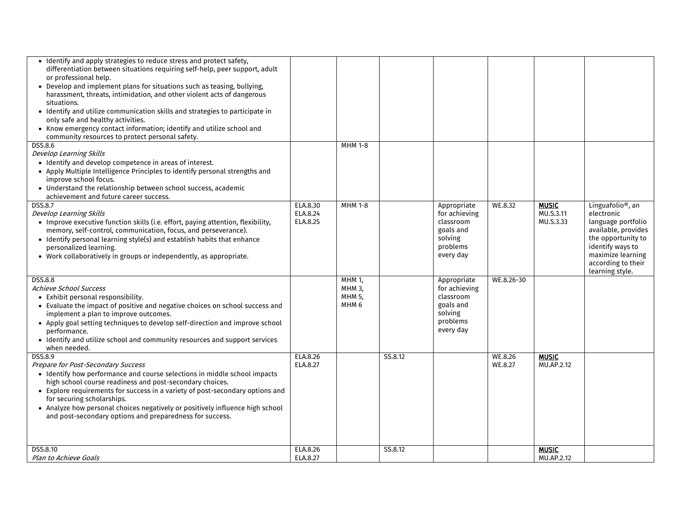| • Identify and apply strategies to reduce stress and protect safety,<br>differentiation between situations requiring self-help, peer support, adult<br>or professional help.<br>• Develop and implement plans for situations such as teasing, bullying,<br>harassment, threats, intimidation, and other violent acts of dangerous<br>situations.<br>• Identify and utilize communication skills and strategies to participate in<br>only safe and healthy activities.<br>• Know emergency contact information; identify and utilize school and<br>community resources to protect personal safety. |                                  |                                                              |         |                                                                                            |                    |                                        |                                                                                                                                                                                                  |
|---------------------------------------------------------------------------------------------------------------------------------------------------------------------------------------------------------------------------------------------------------------------------------------------------------------------------------------------------------------------------------------------------------------------------------------------------------------------------------------------------------------------------------------------------------------------------------------------------|----------------------------------|--------------------------------------------------------------|---------|--------------------------------------------------------------------------------------------|--------------------|----------------------------------------|--------------------------------------------------------------------------------------------------------------------------------------------------------------------------------------------------|
| DSS.8.6<br>Develop Learning Skills<br>• Identify and develop competence in areas of interest.<br>• Apply Multiple Intelligence Principles to identify personal strengths and<br>improve school focus.<br>• Understand the relationship between school success, academic<br>achievement and future career success.                                                                                                                                                                                                                                                                                 |                                  | <b>MHM 1-8</b>                                               |         |                                                                                            |                    |                                        |                                                                                                                                                                                                  |
| <b>DSS.8.7</b><br>Develop Learning Skills<br>• Improve executive function skills (i.e. effort, paying attention, flexibility,<br>memory, self-control, communication, focus, and perseverance).<br>• Identify personal learning style(s) and establish habits that enhance<br>personalized learning.<br>• Work collaboratively in groups or independently, as appropriate.                                                                                                                                                                                                                        | ELA.8.30<br>ELA.8.24<br>ELA.8.25 | <b>MHM 1-8</b>                                               |         | Appropriate<br>for achieving<br>classroom<br>goals and<br>solving<br>problems<br>every day | WE.8.32            | <b>MUSIC</b><br>MU.S.3.11<br>MU.S.3.33 | Linguafolio <sup>®</sup> , an<br>electronic<br>language portfolio<br>available, provides<br>the opportunity to<br>identify ways to<br>maximize learning<br>according to their<br>learning style. |
| <b>DSS.8.8</b><br>Achieve School Success<br>• Exhibit personal responsibility.<br>• Evaluate the impact of positive and negative choices on school success and<br>implement a plan to improve outcomes.<br>• Apply goal setting techniques to develop self-direction and improve school<br>performance.<br>• Identify and utilize school and community resources and support services<br>when needed.                                                                                                                                                                                             |                                  | MHM 1,<br><b>MHM 3.</b><br><b>MHM 5.</b><br>MHM <sub>6</sub> |         | Appropriate<br>for achieving<br>classroom<br>goals and<br>solving<br>problems<br>every day | WE.8.26-30         |                                        |                                                                                                                                                                                                  |
| DSS.8.9<br>Prepare for Post-Secondary Success<br>• Identify how performance and course selections in middle school impacts<br>high school course readiness and post-secondary choices.<br>• Explore requirements for success in a variety of post-secondary options and<br>for securing scholarships.<br>• Analyze how personal choices negatively or positively influence high school<br>and post-secondary options and preparedness for success.                                                                                                                                                | ELA.8.26<br>ELA.8.27             |                                                              | SS.8.12 |                                                                                            | WE.8.26<br>WE.8.27 | <b>MUSIC</b><br>MU.AP.2.12             |                                                                                                                                                                                                  |
| DSS.8.10<br>Plan to Achieve Goals                                                                                                                                                                                                                                                                                                                                                                                                                                                                                                                                                                 | ELA.8.26<br>ELA.8.27             |                                                              | SS.8.12 |                                                                                            |                    | <b>MUSIC</b><br>MU.AP.2.12             |                                                                                                                                                                                                  |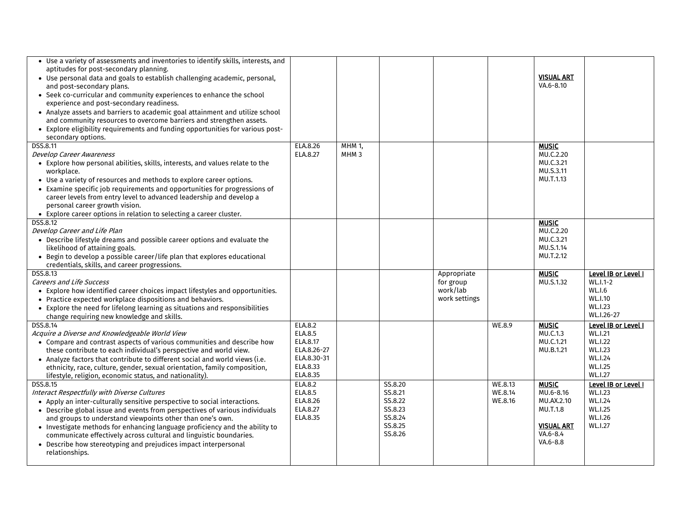| • Use a variety of assessments and inventories to identify skills, interests, and<br>aptitudes for post-secondary planning.<br>• Use personal data and goals to establish challenging academic, personal,<br>and post-secondary plans.<br>• Seek co-curricular and community experiences to enhance the school<br>experience and post-secondary readiness.<br>• Analyze assets and barriers to academic goal attainment and utilize school<br>and community resources to overcome barriers and strengthen assets.<br>• Explore eligibility requirements and funding opportunities for various post-<br>secondary options. |                                                                                      |                            |                                                                           |                                                       |                               | <b>VISUAL ART</b><br>VA.6-8.10                                                                       |                                                                                                                   |
|---------------------------------------------------------------------------------------------------------------------------------------------------------------------------------------------------------------------------------------------------------------------------------------------------------------------------------------------------------------------------------------------------------------------------------------------------------------------------------------------------------------------------------------------------------------------------------------------------------------------------|--------------------------------------------------------------------------------------|----------------------------|---------------------------------------------------------------------------|-------------------------------------------------------|-------------------------------|------------------------------------------------------------------------------------------------------|-------------------------------------------------------------------------------------------------------------------|
| <b>DSS.8.11</b><br><b>Develop Career Awareness</b><br>• Explore how personal abilities, skills, interests, and values relate to the<br>workplace.<br>• Use a variety of resources and methods to explore career options.<br>• Examine specific job requirements and opportunities for progressions of<br>career levels from entry level to advanced leadership and develop a<br>personal career growth vision.<br>• Explore career options in relation to selecting a career cluster.                                                                                                                                     | ELA.8.26<br>ELA.8.27                                                                 | MHM 1,<br>MHM <sub>3</sub> |                                                                           |                                                       |                               | <b>MUSIC</b><br>MU.C.2.20<br>MU.C.3.21<br>MU.S.3.11<br>MU.T.1.13                                     |                                                                                                                   |
| <b>DSS.8.12</b><br>Develop Career and Life Plan<br>• Describe lifestyle dreams and possible career options and evaluate the<br>likelihood of attaining goals.<br>• Begin to develop a possible career/life plan that explores educational<br>credentials, skills, and career progressions.                                                                                                                                                                                                                                                                                                                                |                                                                                      |                            |                                                                           |                                                       |                               | <b>MUSIC</b><br>MU.C.2.20<br>MU.C.3.21<br>MU.S.1.14<br>MU.T.2.12                                     |                                                                                                                   |
| DSS.8.13<br><b>Careers and Life Success</b><br>• Explore how identified career choices impact lifestyles and opportunities.<br>• Practice expected workplace dispositions and behaviors.<br>• Explore the need for lifelong learning as situations and responsibilities<br>change requiring new knowledge and skills.                                                                                                                                                                                                                                                                                                     |                                                                                      |                            |                                                                           | Appropriate<br>for group<br>work/lab<br>work settings |                               | <b>MUSIC</b><br>MU.S.1.32                                                                            | Level IB or Level I<br>$WL.I.1-2$<br><b>WL.I.6</b><br>WL.I.10<br><b>WL.I.23</b><br>WL.I.26-27                     |
| DSS.8.14<br>Acquire a Diverse and Knowledgeable World View<br>• Compare and contrast aspects of various communities and describe how<br>these contribute to each individual's perspective and world view.<br>• Analyze factors that contribute to different social and world views (i.e.<br>ethnicity, race, culture, gender, sexual orientation, family composition,<br>lifestyle, religion, economic status, and nationality).                                                                                                                                                                                          | ELA.8.2<br>ELA.8.5<br>ELA.8.17<br>ELA.8.26-27<br>ELA.8.30-31<br>ELA.8.33<br>ELA.8.35 |                            |                                                                           |                                                       | <b>WE.8.9</b>                 | <b>MUSIC</b><br>MU.C.1.3<br>MU.C.1.21<br>MU.B.1.21                                                   | Level IB or Level I<br>WL.I.21<br><b>WL.I.22</b><br><b>WL.I.23</b><br>WL.I.24<br><b>WL.I.25</b><br><b>WL.I.27</b> |
| DSS.8.15<br>Interact Respectfully with Diverse Cultures<br>• Apply an inter-culturally sensitive perspective to social interactions.<br>• Describe global issue and events from perspectives of various individuals<br>and groups to understand viewpoints other than one's own.<br>• Investigate methods for enhancing language proficiency and the ability to<br>communicate effectively across cultural and linguistic boundaries.<br>• Describe how stereotyping and prejudices impact interpersonal<br>relationships.                                                                                                | ELA.8.2<br>ELA.8.5<br>ELA.8.26<br>ELA.8.27<br>ELA.8.35                               |                            | SS.8.20<br>SS.8.21<br>SS.8.22<br>SS.8.23<br>SS.8.24<br>SS.8.25<br>SS.8.26 |                                                       | WE.8.13<br>WE.8.14<br>WE.8.16 | <b>MUSIC</b><br>MU.6-8.16<br>MU.AX.2.10<br>MU.T.1.8<br><b>VISUAL ART</b><br>VA.6-8.4<br>$VA.6 - 8.8$ | Level IB or Level I<br>WL.I.23<br>WL.I.24<br><b>WL.I.25</b><br>WL.I.26<br><b>WL.I.27</b>                          |